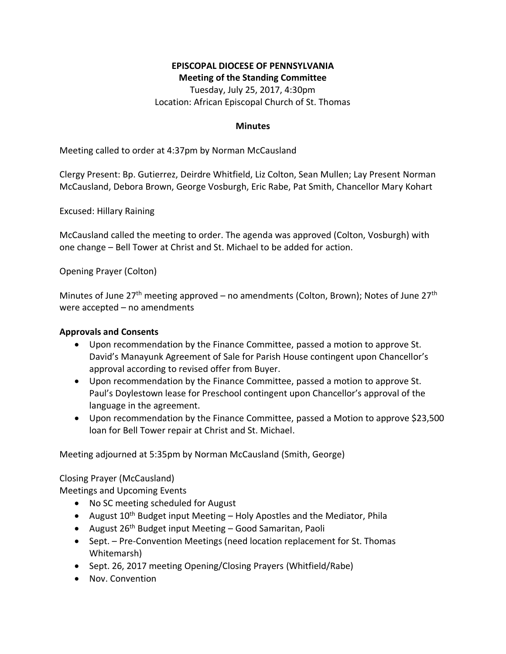## **EPISCOPAL DIOCESE OF PENNSYLVANIA Meeting of the Standing Committee**

Tuesday, July 25, 2017, 4:30pm Location: African Episcopal Church of St. Thomas

## **Minutes**

Meeting called to order at 4:37pm by Norman McCausland

Clergy Present: Bp. Gutierrez, Deirdre Whitfield, Liz Colton, Sean Mullen; Lay Present Norman McCausland, Debora Brown, George Vosburgh, Eric Rabe, Pat Smith, Chancellor Mary Kohart

Excused: Hillary Raining

McCausland called the meeting to order. The agenda was approved (Colton, Vosburgh) with one change – Bell Tower at Christ and St. Michael to be added for action.

Opening Prayer (Colton)

Minutes of June 27<sup>th</sup> meeting approved – no amendments (Colton, Brown); Notes of June 27<sup>th</sup> were accepted – no amendments

## **Approvals and Consents**

- Upon recommendation by the Finance Committee, passed a motion to approve St. David's Manayunk Agreement of Sale for Parish House contingent upon Chancellor's approval according to revised offer from Buyer.
- Upon recommendation by the Finance Committee, passed a motion to approve St. Paul's Doylestown lease for Preschool contingent upon Chancellor's approval of the language in the agreement.
- Upon recommendation by the Finance Committee, passed a Motion to approve \$23,500 loan for Bell Tower repair at Christ and St. Michael.

Meeting adjourned at 5:35pm by Norman McCausland (Smith, George)

Closing Prayer (McCausland)

Meetings and Upcoming Events

- No SC meeting scheduled for August
- August  $10^{th}$  Budget input Meeting Holy Apostles and the Mediator, Phila
- August 26<sup>th</sup> Budget input Meeting Good Samaritan, Paoli
- Sept. Pre-Convention Meetings (need location replacement for St. Thomas Whitemarsh)
- Sept. 26, 2017 meeting Opening/Closing Prayers (Whitfield/Rabe)
- Nov. Convention